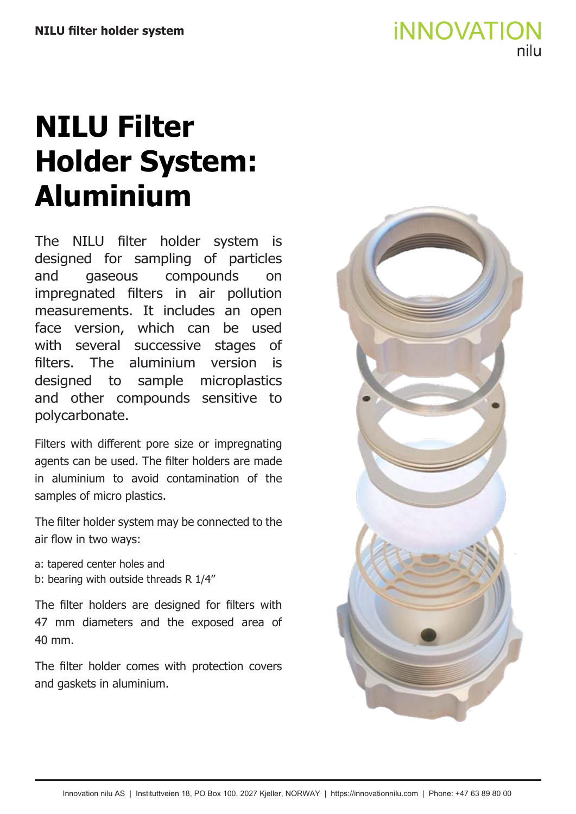# **NILU Filter Holder System: Aluminium**

The NILU filter holder system is designed for sampling of particles and gaseous compounds on impregnated filters in air pollution measurements. It includes an open face version, which can be used with several successive stages of filters. The aluminium version is designed to sample microplastics and other compounds sensitive to polycarbonate.

Filters with different pore size or impregnating agents can be used. The filter holders are made in aluminium to avoid contamination of the samples of micro plastics.

The filter holder system may be connected to the air flow in two ways:

a: tapered center holes and b: bearing with outside threads R 1/4''

The filter holders are designed for filters with 47 mm diameters and the exposed area of 40 mm.

The filter holder comes with protection covers and gaskets in aluminium.

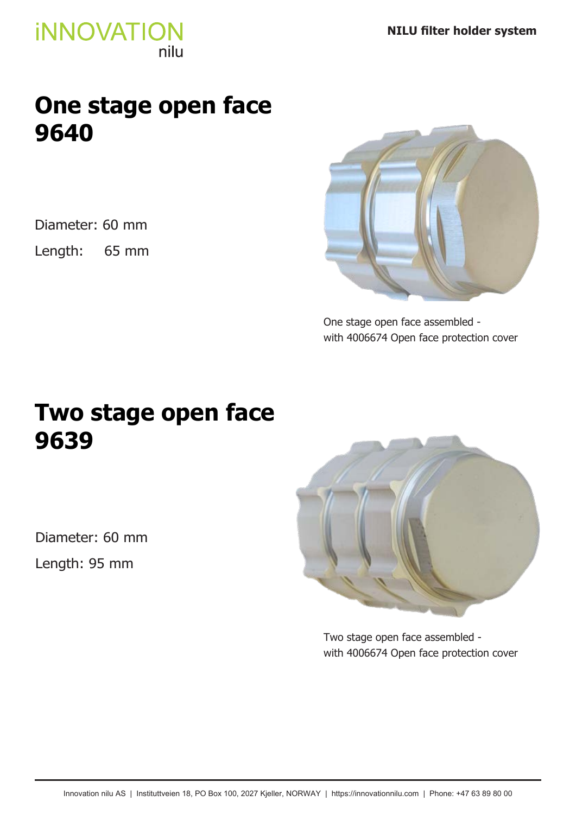### **One stage open face 9640**

Diameter: 60 mm

Length: 65 mm



One stage open face assembled with 4006674 Open face protection cover

### **Two stage open face 9639**

Diameter: 60 mm Length: 95 mm



Two stage open face assembled with 4006674 Open face protection cover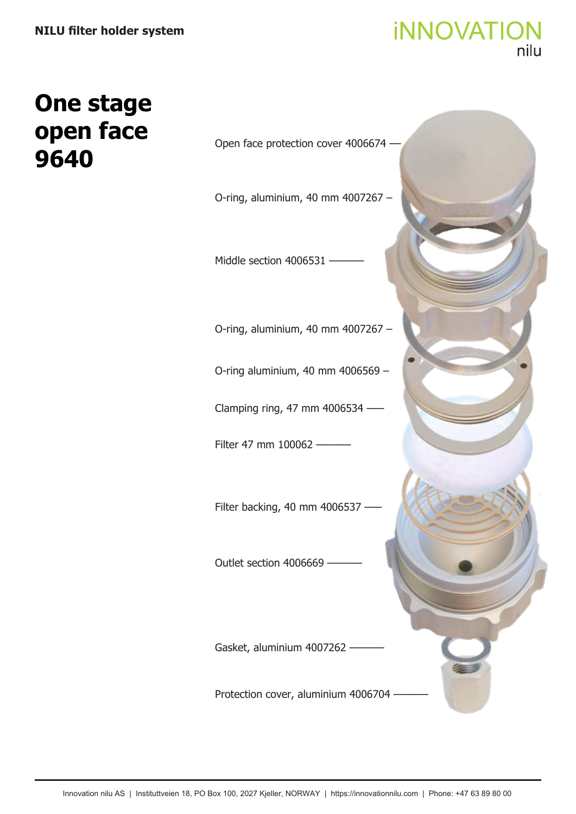# **One stage open face 9640**

Open face protection cover 4006674 –– O-ring, aluminium, 40 mm 4007267 – O-ring, aluminium, 40 mm 4007267 – O-ring aluminium, 40 mm 4006569 – Clamping ring, 47 mm 4006534 ––– Filter 47 mm 100062 -Filter backing, 40 mm 4006537 -Middle section 4006531 -Outlet section 4006669 Gasket, aluminium 4007262 -Protection cover, aluminium 4006704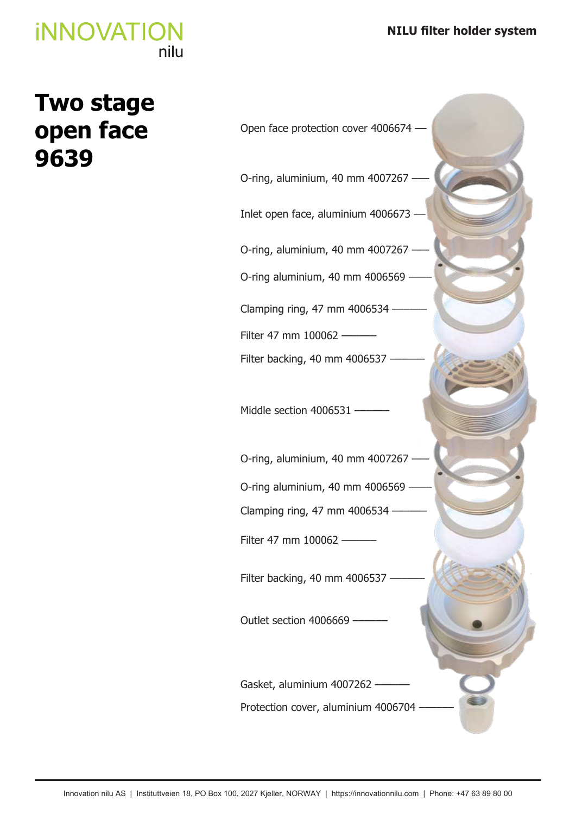## **Two stage open face 9639**

Open face protection cover 4006674 –– O-ring, aluminium, 40 mm 4007267 -O-ring, aluminium, 40 mm 4007267 ––– O-ring, aluminium, 40 mm 4007267 ––– Inlet open face, aluminium 4006673 –– O-ring aluminium, 40 mm 4006569 O-ring aluminium, 40 mm 4006569 Clamping ring, 47 mm 4006534  $-$ Clamping ring, 47 mm 4006534 -Filter 47 mm 100062 – Filter 47 mm 100062 – Filter backing, 40 mm 4006537 -Filter backing, 40 mm 4006537 -Middle section 4006531 -Outlet section 4006669 -Gasket, aluminium 4007262 -Protection cover, aluminium 4006704